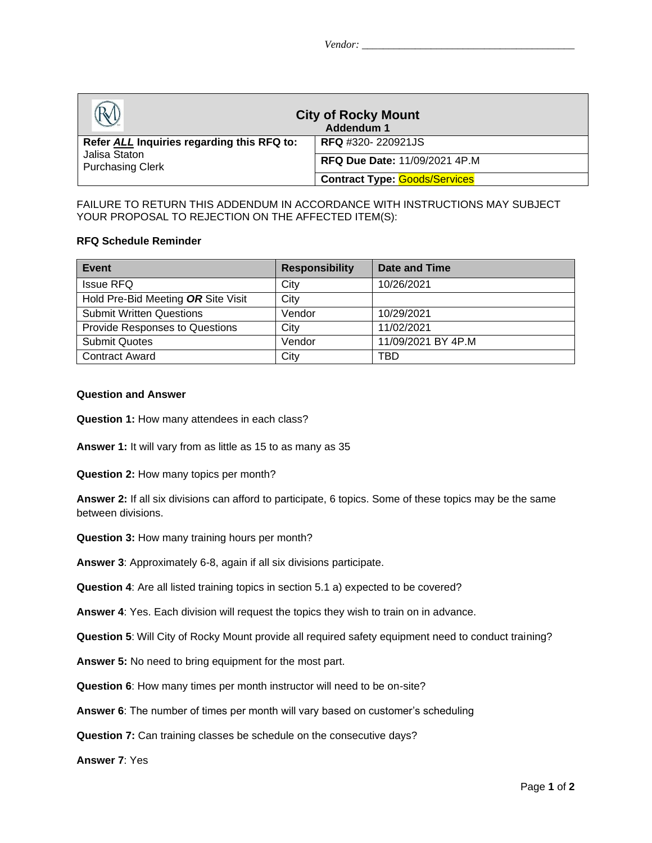| <b>City of Rocky Mount</b><br>Addendum 1                                               |                                      |  |
|----------------------------------------------------------------------------------------|--------------------------------------|--|
| Refer ALL Inquiries regarding this RFQ to:<br>Jalisa Staton<br><b>Purchasing Clerk</b> | <b>RFQ</b> #320-220921JS             |  |
|                                                                                        | RFQ Due Date: 11/09/2021 4P.M        |  |
|                                                                                        | <b>Contract Type: Goods/Services</b> |  |

## FAILURE TO RETURN THIS ADDENDUM IN ACCORDANCE WITH INSTRUCTIONS MAY SUBJECT YOUR PROPOSAL TO REJECTION ON THE AFFECTED ITEM(S):

## **RFQ Schedule Reminder**

| Event                              | <b>Responsibility</b> | <b>Date and Time</b> |
|------------------------------------|-----------------------|----------------------|
| <b>Issue RFQ</b>                   | City                  | 10/26/2021           |
| Hold Pre-Bid Meeting OR Site Visit | City                  |                      |
| <b>Submit Written Questions</b>    | Vendor                | 10/29/2021           |
| Provide Responses to Questions     | City                  | 11/02/2021           |
| <b>Submit Quotes</b>               | Vendor                | 11/09/2021 BY 4P.M   |
| <b>Contract Award</b>              | City                  | TBD                  |

## **Question and Answer**

**Question 1:** How many attendees in each class?

**Answer 1:** It will vary from as little as 15 to as many as 35

**Question 2:** How many topics per month?

**Answer 2:** If all six divisions can afford to participate, 6 topics. Some of these topics may be the same between divisions.

- **Question 3:** How many training hours per month?
- **Answer 3**: Approximately 6-8, again if all six divisions participate.
- **Question 4**: Are all listed training topics in section 5.1 a) expected to be covered?

**Answer 4**: Yes. Each division will request the topics they wish to train on in advance.

**Question 5**: Will City of Rocky Mount provide all required safety equipment need to conduct training?

- **Answer 5:** No need to bring equipment for the most part.
- **Question 6**: How many times per month instructor will need to be on-site?
- **Answer 6**: The number of times per month will vary based on customer's scheduling
- **Question 7:** Can training classes be schedule on the consecutive days?

**Answer 7**: Yes